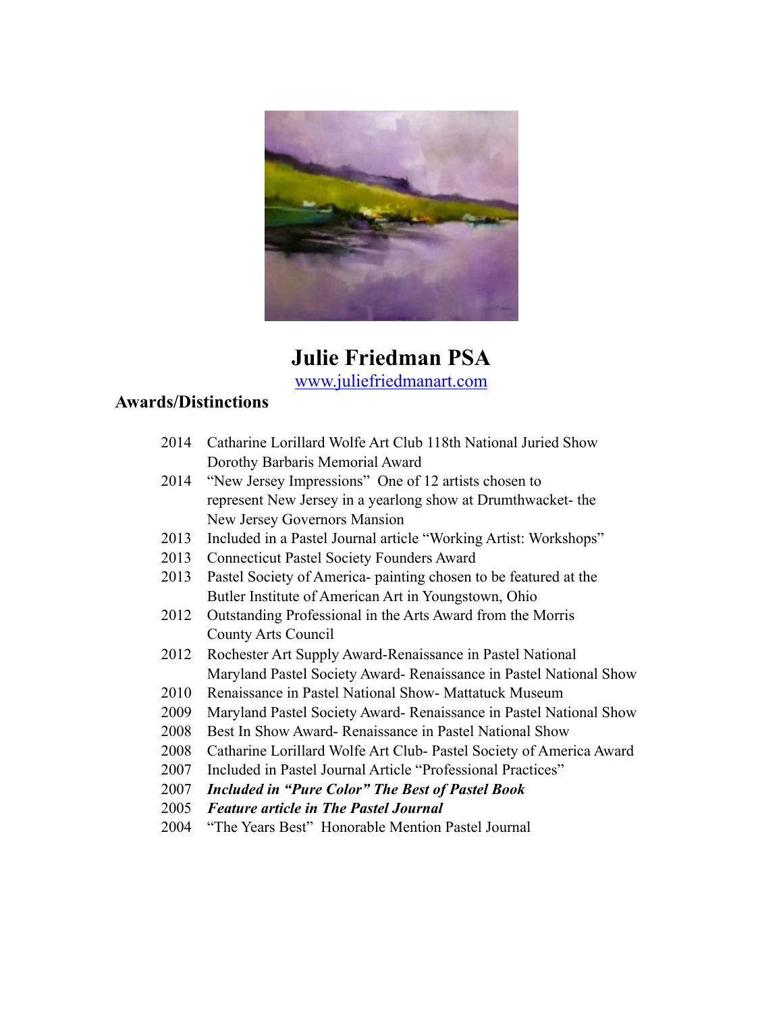

# **Julie Friedman PSA**

[www.juliefriedmanart.com](http://www.juliefriedmanart.com)

#### **Awards/Distinctions**

- 2014 Catharine Lorillard Wolfe Art Club 118th National Juried Show Dorothy Barbaris Memorial Award
- 2014 "New Jersey Impressions" One of 12 artists chosen to represent New Jersey in a yearlong show at Drumthwacket- the New Jersey Governors Mansion
- 2013 Included in a Pastel Journal article "Working Artist: Workshops"
- 2013 Connecticut Pastel Society Founders Award
- 2013 Pastel Society of America- painting chosen to be featured at the Butler Institute of American Art in Youngstown, Ohio
- 2012 Outstanding Professional in the Arts Award from the Morris County Arts Council
- 2012 Rochester Art Supply Award-Renaissance in Pastel National Maryland Pastel Society Award- Renaissance in Pastel National Show
- 2010 Renaissance in Pastel National Show- Mattatuck Museum
- 2009 Maryland Pastel Society Award- Renaissance in Pastel National Show
- 2008 Best In Show Award- Renaissance in Pastel National Show
- 2008 Catharine Lorillard Wolfe Art Club- Pastel Society of America Award
- 2007 Included in Pastel Journal Article "Professional Practices"
- 2007 *Included in "Pure Color" The Best of Pastel Book*
- 2005 *Feature article in The Pastel Journal*
- 2004 "The Years Best" Honorable Mention Pastel Journal